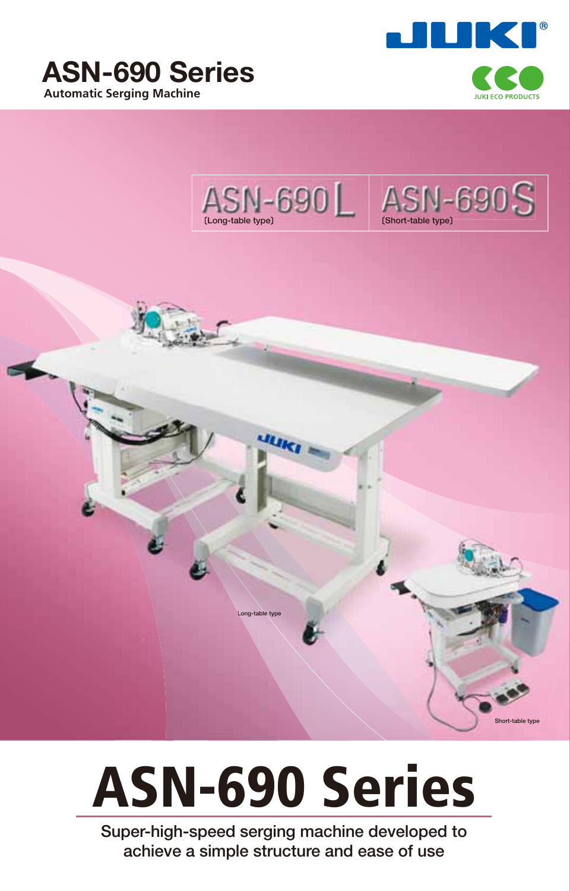



**Short-table type**





**Long-table type**

**Super-high-speed serging machine developed to achieve a simple structure and ease of use**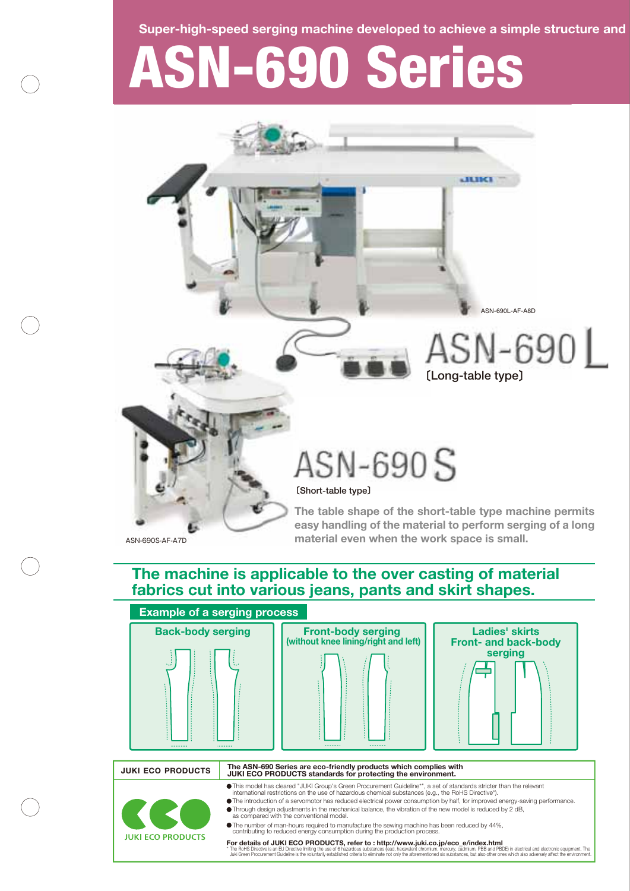**Super-high-speed serging machine developed to achieve a simple structure and** 

# **ASN-690 Series**



## **The machine is applicable to the over casting of material fabrics cut into various jeans, pants and skirt shapes.**

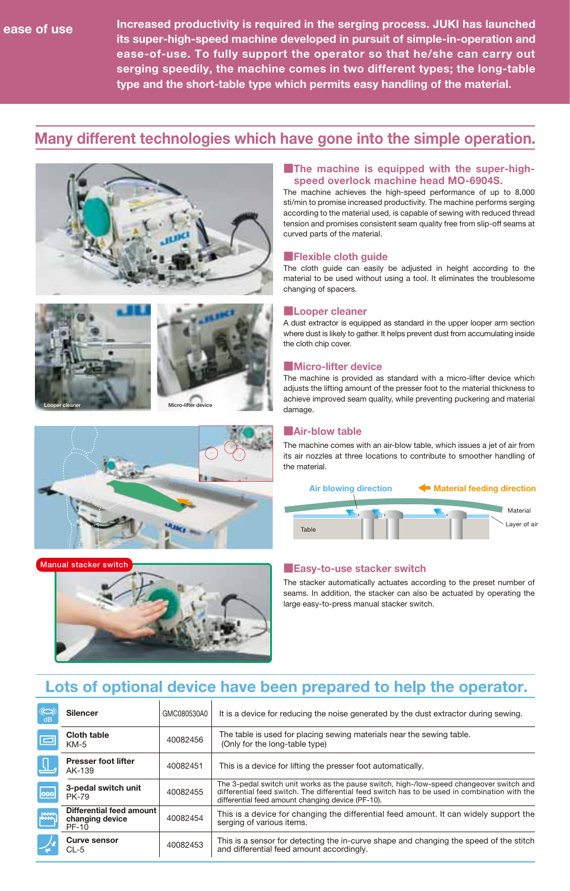**Increased productivity is required in the serging process. JUKI has launched its super-high-speed machine developed in pursuit of simple-in-operation and ease-of-use. To fully support the operator so that he/she can carry out serging speedily, the machine comes in two different types; the long-table type and the short-table type which permits easy handling of the material.** 

## **Many different technologies which have gone into the simple operation.**









#### **The machine is equipped with the super-highspeed overlock machine head MO-6904S.**

The machine achieves the high-speed performance of up to 8,000 sti/min to promise increased productivity. The machine performs serging according to the material used, is capable of sewing with reduced thread tension and promises consistent seam quality free from slip-off seams at curved parts of the material.

#### **■Flexible cloth guide**

The cloth guide can easily be adjusted in height according to the material to be used without using a tool. It eliminates the troublesome changing of spacers.

#### **■Looper cleaner**

A dust extractor is equipped as standard in the upper looper arm section where dust is likely to gather. It helps prevent dust from accumulating inside the cloth chip cover.

#### **■Micro-lifter device**

The machine is provided as standard with a micro-lifter device which adjusts the lifting amount of the presser foot to the material thickness to achieve improved seam quality, while preventing puckering and material damage.

#### **■Air-blow table**

The machine comes with an air-blow table, which issues a jet of air from its air nozzles at three locations to contribute to smoother handling of the material.



### **Manual stacker switch Manual stacker switch Manual stacker switch Manual stacker switch**

The stacker automatically actuates according to the preset number of seams. In addition, the stacker can also be actuated by operating the large easy-to-press manual stacker switch.

## **Lots of optional device have been prepared to help the operator.**

| dB                  | <b>Silencer</b>                                             | GMC080530A0 | It is a device for reducing the noise generated by the dust extractor during sewing.                                                                                                                                                           |
|---------------------|-------------------------------------------------------------|-------------|------------------------------------------------------------------------------------------------------------------------------------------------------------------------------------------------------------------------------------------------|
| $\Box$              | <b>Cloth table</b><br>$KM-5$                                | 40082456    | The table is used for placing sewing materials near the sewing table.<br>(Only for the long-table type)                                                                                                                                        |
|                     | <b>Presser foot lifter</b><br>AK-139                        | 40082451    | This is a device for lifting the presser foot automatically.                                                                                                                                                                                   |
| $\overline{\infty}$ | 3-pedal switch unit<br><b>PK-79</b>                         | 40082455    | The 3-pedal switch unit works as the pause switch, high-/low-speed changeover switch and<br>differential feed switch. The differential feed switch has to be used in combination with the<br>differential feed amount changing device (PF-10). |
| Fin                 | Differential feed amount<br>changing device<br><b>PF-10</b> | 40082454    | This is a device for changing the differential feed amount. It can widely support the<br>serging of various items.                                                                                                                             |
|                     | <b>Curve sensor</b><br>CL-5                                 | 40082453    | This is a sensor for detecting the in-curve shape and changing the speed of the stitch<br>and differential feed amount accordingly.                                                                                                            |